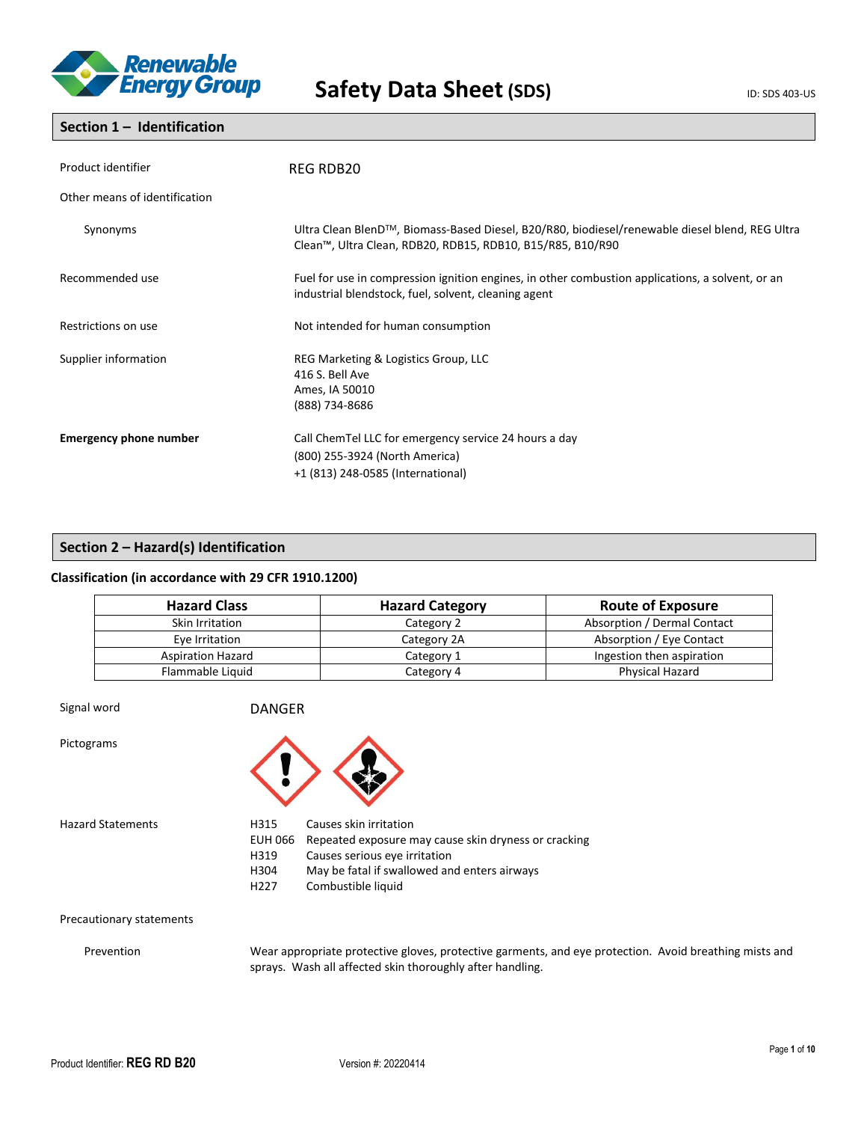

# **Section 1 – Identification**

| Product identifier            | REG RDB20                                                                                                                                                    |
|-------------------------------|--------------------------------------------------------------------------------------------------------------------------------------------------------------|
| Other means of identification |                                                                                                                                                              |
| Synonyms                      | Ultra Clean BlenD™, Biomass-Based Diesel, B20/R80, biodiesel/renewable diesel blend, REG Ultra<br>Clean™, Ultra Clean, RDB20, RDB15, RDB10, B15/R85, B10/R90 |
| Recommended use               | Fuel for use in compression ignition engines, in other combustion applications, a solvent, or an<br>industrial blendstock, fuel, solvent, cleaning agent     |
| Restrictions on use           | Not intended for human consumption                                                                                                                           |
| Supplier information          | REG Marketing & Logistics Group, LLC<br>416 S. Bell Ave<br>Ames, IA 50010<br>(888) 734-8686                                                                  |
| <b>Emergency phone number</b> | Call ChemTel LLC for emergency service 24 hours a day<br>(800) 255-3924 (North America)<br>+1 (813) 248-0585 (International)                                 |

# **Section 2 – Hazard(s) Identification**

# **Classification (in accordance with 29 CFR 1910.1200)**

| <b>Hazard Class</b>      | <b>Hazard Category</b> | <b>Route of Exposure</b>    |
|--------------------------|------------------------|-----------------------------|
| Skin Irritation          | Category 2             | Absorption / Dermal Contact |
| Eye Irritation           | Category 2A            | Absorption / Eye Contact    |
| <b>Aspiration Hazard</b> | Category 1             | Ingestion then aspiration   |
| Flammable Liquid         | Category 4             | <b>Physical Hazard</b>      |

| Signal word              | <b>DANGER</b>                                       |                                                                                                                                                                                       |
|--------------------------|-----------------------------------------------------|---------------------------------------------------------------------------------------------------------------------------------------------------------------------------------------|
| Pictograms               |                                                     |                                                                                                                                                                                       |
| <b>Hazard Statements</b> | H315<br>EUH 066<br>H319<br>H304<br>H <sub>227</sub> | Causes skin irritation<br>Repeated exposure may cause skin dryness or cracking<br>Causes serious eye irritation<br>May be fatal if swallowed and enters airways<br>Combustible liquid |

Precautionary statements

Prevention Wear appropriate protective gloves, protective garments, and eye protection. Avoid breathing mists and sprays. Wash all affected skin thoroughly after handling.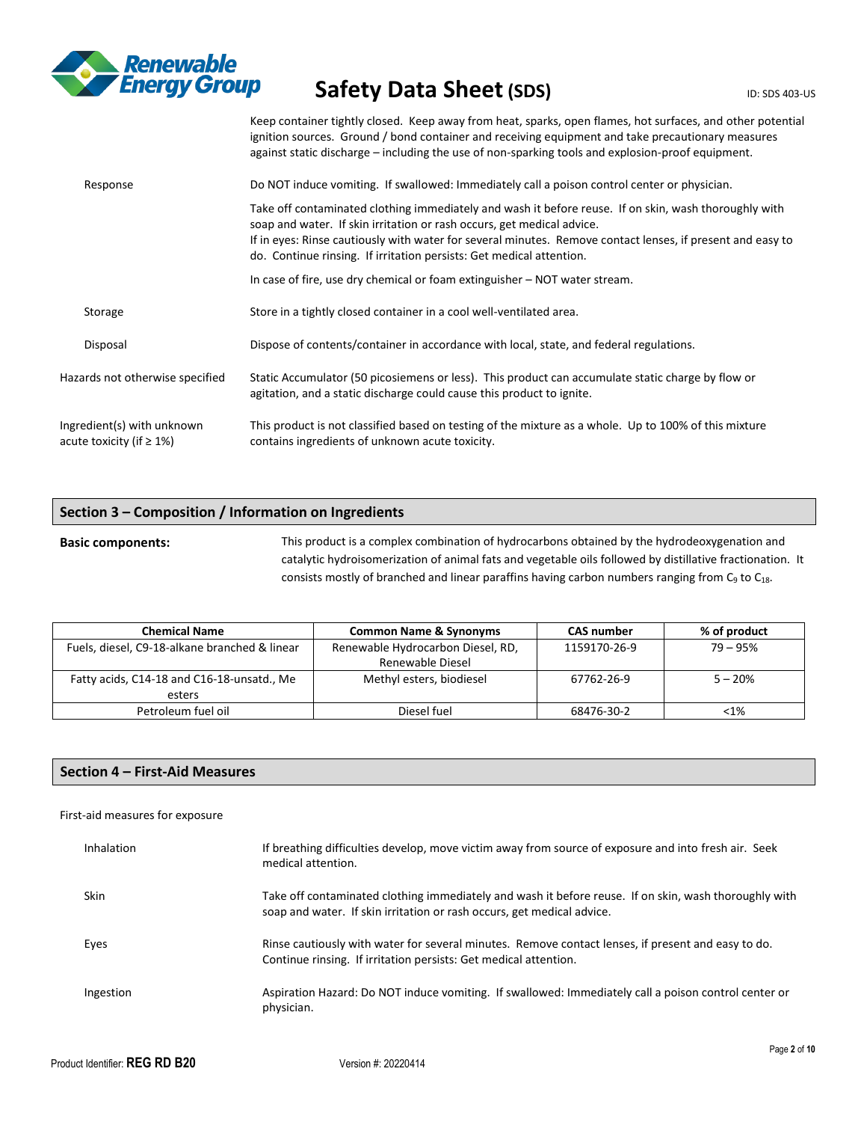

|                                                               | Keep container tightly closed. Keep away from heat, sparks, open flames, hot surfaces, and other potential<br>ignition sources. Ground / bond container and receiving equipment and take precautionary measures<br>against static discharge – including the use of non-sparking tools and explosion-proof equipment.                                                  |
|---------------------------------------------------------------|-----------------------------------------------------------------------------------------------------------------------------------------------------------------------------------------------------------------------------------------------------------------------------------------------------------------------------------------------------------------------|
| Response                                                      | Do NOT induce vomiting. If swallowed: Immediately call a poison control center or physician.                                                                                                                                                                                                                                                                          |
|                                                               | Take off contaminated clothing immediately and wash it before reuse. If on skin, wash thoroughly with<br>soap and water. If skin irritation or rash occurs, get medical advice.<br>If in eyes: Rinse cautiously with water for several minutes. Remove contact lenses, if present and easy to<br>do. Continue rinsing. If irritation persists: Get medical attention. |
|                                                               | In case of fire, use dry chemical or foam extinguisher $-$ NOT water stream.                                                                                                                                                                                                                                                                                          |
| Storage                                                       | Store in a tightly closed container in a cool well-ventilated area.                                                                                                                                                                                                                                                                                                   |
| Disposal                                                      | Dispose of contents/container in accordance with local, state, and federal regulations.                                                                                                                                                                                                                                                                               |
| Hazards not otherwise specified                               | Static Accumulator (50 picosiemens or less). This product can accumulate static charge by flow or<br>agitation, and a static discharge could cause this product to ignite.                                                                                                                                                                                            |
| Ingredient(s) with unknown<br>acute toxicity (if $\geq 1\%$ ) | This product is not classified based on testing of the mixture as a whole. Up to 100% of this mixture<br>contains ingredients of unknown acute toxicity.                                                                                                                                                                                                              |

# **Section 3 – Composition / Information on Ingredients**

# **Basic components:** This product is a complex combination of hydrocarbons obtained by the hydrodeoxygenation and catalytic hydroisomerization of animal fats and vegetable oils followed by distillative fractionation. It consists mostly of branched and linear paraffins having carbon numbers ranging from  $C_9$  to  $C_{18}$ .

| <b>Chemical Name</b>                          | <b>Common Name &amp; Synonyms</b> | <b>CAS number</b> | % of product |
|-----------------------------------------------|-----------------------------------|-------------------|--------------|
| Fuels, diesel, C9-18-alkane branched & linear | Renewable Hydrocarbon Diesel, RD, | 1159170-26-9      | 79 – 95%     |
|                                               | Renewable Diesel                  |                   |              |
| Fatty acids, C14-18 and C16-18-unsatd., Me    | Methyl esters, biodiesel          | 67762-26-9        | $5 - 20%$    |
| esters                                        |                                   |                   |              |
| Petroleum fuel oil                            | Diesel fuel                       | 68476-30-2        | $< 1\%$      |

# **Section 4 – First-Aid Measures**

### First-aid measures for exposure

| Inhalation  | If breathing difficulties develop, move victim away from source of exposure and into fresh air. Seek<br>medical attention.                                                      |
|-------------|---------------------------------------------------------------------------------------------------------------------------------------------------------------------------------|
| <b>Skin</b> | Take off contaminated clothing immediately and wash it before reuse. If on skin, wash thoroughly with<br>soap and water. If skin irritation or rash occurs, get medical advice. |
| Eyes        | Rinse cautiously with water for several minutes. Remove contact lenses, if present and easy to do.<br>Continue rinsing. If irritation persists: Get medical attention.          |
| Ingestion   | Aspiration Hazard: Do NOT induce vomiting. If swallowed: Immediately call a poison control center or<br>physician.                                                              |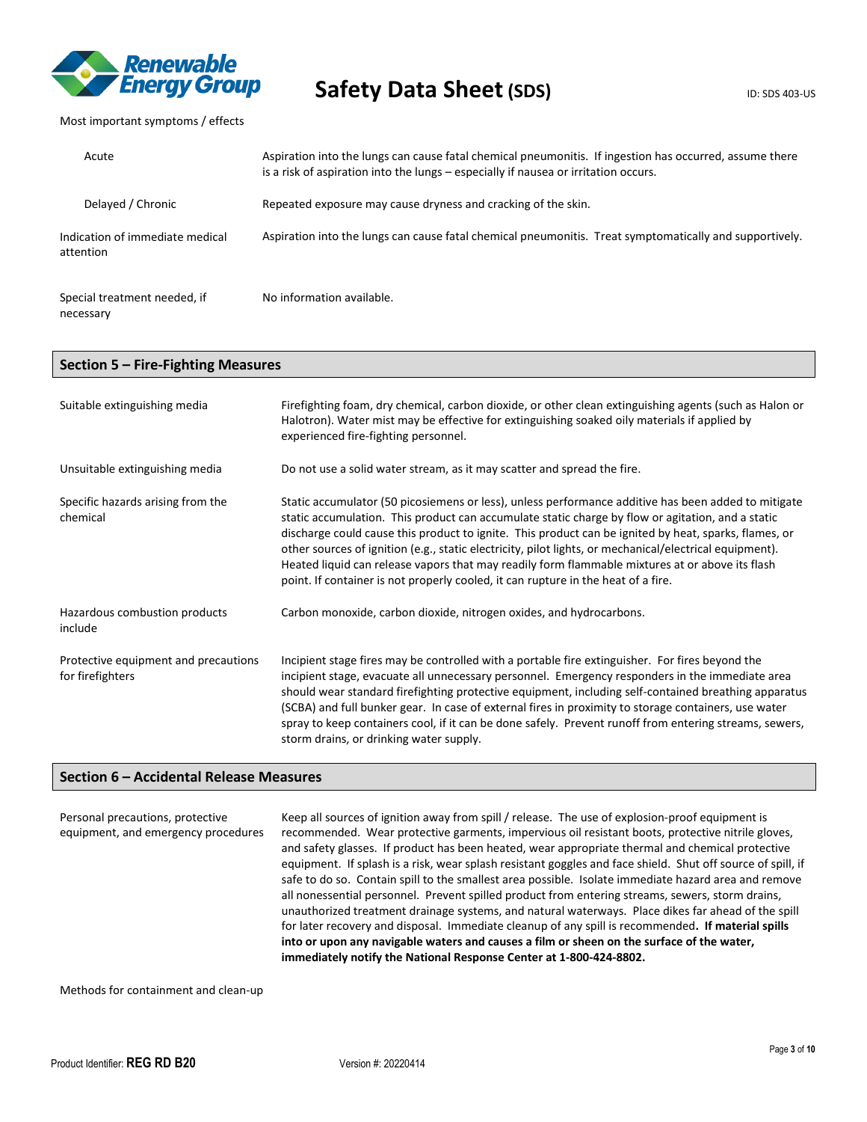

Most important symptoms / effects

| Acute                                        | Aspiration into the lungs can cause fatal chemical pneumonitis. If ingestion has occurred, assume there<br>is a risk of aspiration into the lungs – especially if nausea or irritation occurs. |
|----------------------------------------------|------------------------------------------------------------------------------------------------------------------------------------------------------------------------------------------------|
| Delayed / Chronic                            | Repeated exposure may cause dryness and cracking of the skin.                                                                                                                                  |
| Indication of immediate medical<br>attention | Aspiration into the lungs can cause fatal chemical pneumonitis. Treat symptomatically and supportively.                                                                                        |
| Special treatment needed, if<br>necessary    | No information available.                                                                                                                                                                      |

# **Section 5 – Fire-Fighting Measures**

| Suitable extinguishing media                             | Firefighting foam, dry chemical, carbon dioxide, or other clean extinguishing agents (such as Halon or<br>Halotron). Water mist may be effective for extinguishing soaked oily materials if applied by<br>experienced fire-fighting personnel.                                                                                                                                                                                                                                                                                                                                                                       |
|----------------------------------------------------------|----------------------------------------------------------------------------------------------------------------------------------------------------------------------------------------------------------------------------------------------------------------------------------------------------------------------------------------------------------------------------------------------------------------------------------------------------------------------------------------------------------------------------------------------------------------------------------------------------------------------|
| Unsuitable extinguishing media                           | Do not use a solid water stream, as it may scatter and spread the fire.                                                                                                                                                                                                                                                                                                                                                                                                                                                                                                                                              |
| Specific hazards arising from the<br>chemical            | Static accumulator (50 picosiemens or less), unless performance additive has been added to mitigate<br>static accumulation. This product can accumulate static charge by flow or agitation, and a static<br>discharge could cause this product to ignite. This product can be ignited by heat, sparks, flames, or<br>other sources of ignition (e.g., static electricity, pilot lights, or mechanical/electrical equipment).<br>Heated liquid can release vapors that may readily form flammable mixtures at or above its flash<br>point. If container is not properly cooled, it can rupture in the heat of a fire. |
| Hazardous combustion products<br>include                 | Carbon monoxide, carbon dioxide, nitrogen oxides, and hydrocarbons.                                                                                                                                                                                                                                                                                                                                                                                                                                                                                                                                                  |
| Protective equipment and precautions<br>for firefighters | Incipient stage fires may be controlled with a portable fire extinguisher. For fires beyond the<br>incipient stage, evacuate all unnecessary personnel. Emergency responders in the immediate area<br>should wear standard firefighting protective equipment, including self-contained breathing apparatus<br>(SCBA) and full bunker gear. In case of external fires in proximity to storage containers, use water<br>spray to keep containers cool, if it can be done safely. Prevent runoff from entering streams, sewers,<br>storm drains, or drinking water supply.                                              |

### **Section 6 – Accidental Release Measures**

Personal precautions, protective equipment, and emergency procedures Keep all sources of ignition away from spill / release. The use of explosion-proof equipment is recommended. Wear protective garments, impervious oil resistant boots, protective nitrile gloves, and safety glasses. If product has been heated, wear appropriate thermal and chemical protective equipment. If splash is a risk, wear splash resistant goggles and face shield. Shut off source of spill, if safe to do so. Contain spill to the smallest area possible. Isolate immediate hazard area and remove all nonessential personnel. Prevent spilled product from entering streams, sewers, storm drains, unauthorized treatment drainage systems, and natural waterways. Place dikes far ahead of the spill for later recovery and disposal. Immediate cleanup of any spill is recommended**. If material spills into or upon any navigable waters and causes a film or sheen on the surface of the water, immediately notify the National Response Center at 1-800-424-8802.**

Methods for containment and clean-up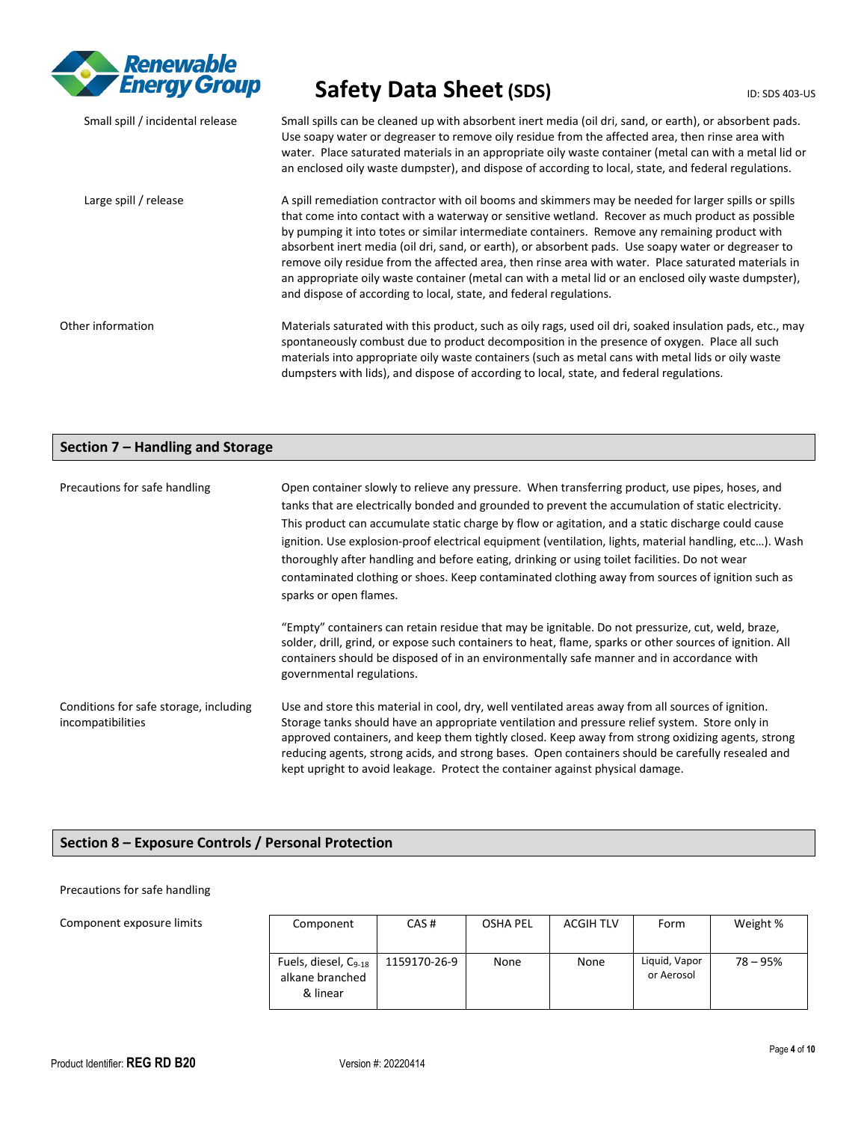

| Small spill / incidental release | Small spills can be cleaned up with absorbent inert media (oil dri, sand, or earth), or absorbent pads.<br>Use soapy water or degreaser to remove oily residue from the affected area, then rinse area with<br>water. Place saturated materials in an appropriate oily waste container (metal can with a metal lid or<br>an enclosed oily waste dumpster), and dispose of according to local, state, and federal regulations.                                                                                                                                                                                                                                                                           |
|----------------------------------|---------------------------------------------------------------------------------------------------------------------------------------------------------------------------------------------------------------------------------------------------------------------------------------------------------------------------------------------------------------------------------------------------------------------------------------------------------------------------------------------------------------------------------------------------------------------------------------------------------------------------------------------------------------------------------------------------------|
| Large spill / release            | A spill remediation contractor with oil booms and skimmers may be needed for larger spills or spills<br>that come into contact with a waterway or sensitive wetland. Recover as much product as possible<br>by pumping it into totes or similar intermediate containers. Remove any remaining product with<br>absorbent inert media (oil dri, sand, or earth), or absorbent pads. Use soapy water or degreaser to<br>remove oily residue from the affected area, then rinse area with water. Place saturated materials in<br>an appropriate oily waste container (metal can with a metal lid or an enclosed oily waste dumpster),<br>and dispose of according to local, state, and federal regulations. |
| Other information                | Materials saturated with this product, such as oily rags, used oil dri, soaked insulation pads, etc., may<br>spontaneously combust due to product decomposition in the presence of oxygen. Place all such<br>materials into appropriate oily waste containers (such as metal cans with metal lids or oily waste<br>dumpsters with lids), and dispose of according to local, state, and federal regulations.                                                                                                                                                                                                                                                                                             |

# **Section 7 – Handling and Storage**

| Precautions for safe handling                               | Open container slowly to relieve any pressure. When transferring product, use pipes, hoses, and<br>tanks that are electrically bonded and grounded to prevent the accumulation of static electricity.<br>This product can accumulate static charge by flow or agitation, and a static discharge could cause<br>ignition. Use explosion-proof electrical equipment (ventilation, lights, material handling, etc). Wash<br>thoroughly after handling and before eating, drinking or using toilet facilities. Do not wear<br>contaminated clothing or shoes. Keep contaminated clothing away from sources of ignition such as<br>sparks or open flames. |  |  |
|-------------------------------------------------------------|------------------------------------------------------------------------------------------------------------------------------------------------------------------------------------------------------------------------------------------------------------------------------------------------------------------------------------------------------------------------------------------------------------------------------------------------------------------------------------------------------------------------------------------------------------------------------------------------------------------------------------------------------|--|--|
|                                                             | "Empty" containers can retain residue that may be ignitable. Do not pressurize, cut, weld, braze,<br>solder, drill, grind, or expose such containers to heat, flame, sparks or other sources of ignition. All<br>containers should be disposed of in an environmentally safe manner and in accordance with<br>governmental regulations.                                                                                                                                                                                                                                                                                                              |  |  |
| Conditions for safe storage, including<br>incompatibilities | Use and store this material in cool, dry, well ventilated areas away from all sources of ignition.<br>Storage tanks should have an appropriate ventilation and pressure relief system. Store only in<br>approved containers, and keep them tightly closed. Keep away from strong oxidizing agents, strong<br>reducing agents, strong acids, and strong bases. Open containers should be carefully resealed and<br>kept upright to avoid leakage. Protect the container against physical damage.                                                                                                                                                      |  |  |

# **Section 8 – Exposure Controls / Personal Protection**

### Precautions for safe handling

Component exposure limits

| Component                                                       | CAS#         | OSHA PEL | <b>ACGIH TLV</b> | Form                        | Weight %   |
|-----------------------------------------------------------------|--------------|----------|------------------|-----------------------------|------------|
| Fuels, diesel, C <sub>9-18</sub><br>alkane branched<br>& linear | 1159170-26-9 | None     | None             | Liquid, Vapor<br>or Aerosol | $78 - 95%$ |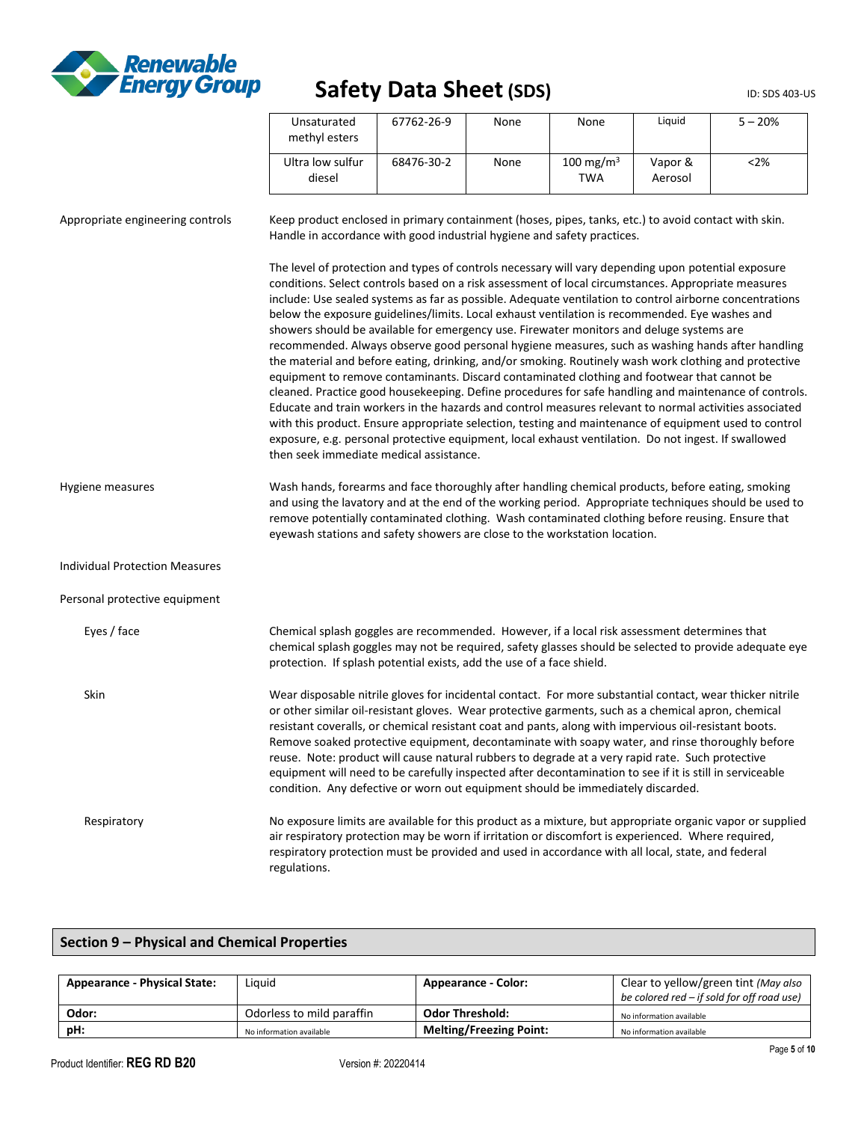

| Unsaturated<br>methyl esters | 67762-26-9 | None | None                         | Liguid             | $5 - 20%$ |
|------------------------------|------------|------|------------------------------|--------------------|-----------|
| Ultra low sulfur<br>diesel   | 68476-30-2 | None | 100 mg/m <sup>3</sup><br>TWA | Vapor &<br>Aerosol | $<$ 2%    |

| Appropriate engineering controls      | Keep product enclosed in primary containment (hoses, pipes, tanks, etc.) to avoid contact with skin.<br>Handle in accordance with good industrial hygiene and safety practices.                                                                                                                                                                                                                                                                                                                                                                                                                                                                                                                                                                                                                                                                                                                                                                                                                                                                                                                                                                                                                                                                                                                                |
|---------------------------------------|----------------------------------------------------------------------------------------------------------------------------------------------------------------------------------------------------------------------------------------------------------------------------------------------------------------------------------------------------------------------------------------------------------------------------------------------------------------------------------------------------------------------------------------------------------------------------------------------------------------------------------------------------------------------------------------------------------------------------------------------------------------------------------------------------------------------------------------------------------------------------------------------------------------------------------------------------------------------------------------------------------------------------------------------------------------------------------------------------------------------------------------------------------------------------------------------------------------------------------------------------------------------------------------------------------------|
|                                       | The level of protection and types of controls necessary will vary depending upon potential exposure<br>conditions. Select controls based on a risk assessment of local circumstances. Appropriate measures<br>include: Use sealed systems as far as possible. Adequate ventilation to control airborne concentrations<br>below the exposure guidelines/limits. Local exhaust ventilation is recommended. Eye washes and<br>showers should be available for emergency use. Firewater monitors and deluge systems are<br>recommended. Always observe good personal hygiene measures, such as washing hands after handling<br>the material and before eating, drinking, and/or smoking. Routinely wash work clothing and protective<br>equipment to remove contaminants. Discard contaminated clothing and footwear that cannot be<br>cleaned. Practice good housekeeping. Define procedures for safe handling and maintenance of controls.<br>Educate and train workers in the hazards and control measures relevant to normal activities associated<br>with this product. Ensure appropriate selection, testing and maintenance of equipment used to control<br>exposure, e.g. personal protective equipment, local exhaust ventilation. Do not ingest. If swallowed<br>then seek immediate medical assistance. |
| Hygiene measures                      | Wash hands, forearms and face thoroughly after handling chemical products, before eating, smoking<br>and using the lavatory and at the end of the working period. Appropriate techniques should be used to<br>remove potentially contaminated clothing. Wash contaminated clothing before reusing. Ensure that<br>eyewash stations and safety showers are close to the workstation location.                                                                                                                                                                                                                                                                                                                                                                                                                                                                                                                                                                                                                                                                                                                                                                                                                                                                                                                   |
| <b>Individual Protection Measures</b> |                                                                                                                                                                                                                                                                                                                                                                                                                                                                                                                                                                                                                                                                                                                                                                                                                                                                                                                                                                                                                                                                                                                                                                                                                                                                                                                |
| Personal protective equipment         |                                                                                                                                                                                                                                                                                                                                                                                                                                                                                                                                                                                                                                                                                                                                                                                                                                                                                                                                                                                                                                                                                                                                                                                                                                                                                                                |
| Eyes / face                           | Chemical splash goggles are recommended. However, if a local risk assessment determines that<br>chemical splash goggles may not be required, safety glasses should be selected to provide adequate eye<br>protection. If splash potential exists, add the use of a face shield.                                                                                                                                                                                                                                                                                                                                                                                                                                                                                                                                                                                                                                                                                                                                                                                                                                                                                                                                                                                                                                |
| Skin                                  | Wear disposable nitrile gloves for incidental contact. For more substantial contact, wear thicker nitrile<br>or other similar oil-resistant gloves. Wear protective garments, such as a chemical apron, chemical<br>resistant coveralls, or chemical resistant coat and pants, along with impervious oil-resistant boots.<br>Remove soaked protective equipment, decontaminate with soapy water, and rinse thoroughly before<br>reuse. Note: product will cause natural rubbers to degrade at a very rapid rate. Such protective<br>equipment will need to be carefully inspected after decontamination to see if it is still in serviceable<br>condition. Any defective or worn out equipment should be immediately discarded.                                                                                                                                                                                                                                                                                                                                                                                                                                                                                                                                                                                |
| Respiratory                           | No exposure limits are available for this product as a mixture, but appropriate organic vapor or supplied<br>air respiratory protection may be worn if irritation or discomfort is experienced. Where required,<br>respiratory protection must be provided and used in accordance with all local, state, and federal<br>regulations.                                                                                                                                                                                                                                                                                                                                                                                                                                                                                                                                                                                                                                                                                                                                                                                                                                                                                                                                                                           |

# **Section 9 – Physical and Chemical Properties**

| <b>Appearance - Physical State:</b> | Liauid                    | <b>Appearance - Color:</b>     | Clear to yellow/green tint (May also       |
|-------------------------------------|---------------------------|--------------------------------|--------------------------------------------|
|                                     |                           |                                | be colored red – if sold for off road use) |
| Odor:                               | Odorless to mild paraffin | <b>Odor Threshold:</b>         | No information available                   |
| pH:                                 | No information available  | <b>Melting/Freezing Point:</b> | No information available                   |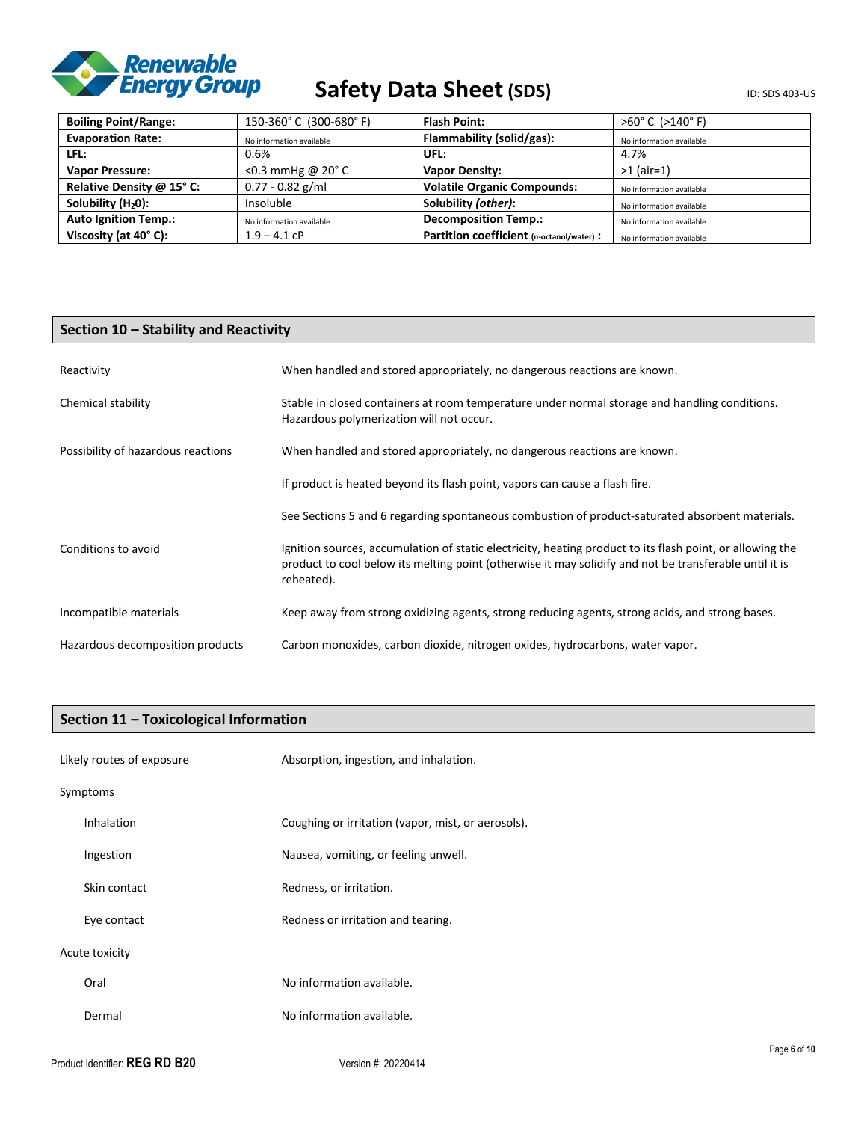

# Safety Data Sheet (SDS) **Safety** Data Sheet (SDS)

| <b>Boiling Point/Range:</b>    | 150-360°C (300-680°F)      | <b>Flash Point:</b>                       | $>60^{\circ}$ C ( $>140^{\circ}$ F) |
|--------------------------------|----------------------------|-------------------------------------------|-------------------------------------|
| <b>Evaporation Rate:</b>       | No information available   | Flammability (solid/gas):                 | No information available            |
| LFL:                           | 0.6%                       | UFL:                                      | 4.7%                                |
| <b>Vapor Pressure:</b>         | <0.3 mmHg @ $20^{\circ}$ C | <b>Vapor Density:</b>                     | $>1$ (air=1)                        |
| Relative Density @ 15° C:      | $0.77 - 0.82$ g/ml         | <b>Volatile Organic Compounds:</b>        | No information available            |
| Solubility (H <sub>2</sub> 0): | Insoluble                  | Solubility (other):                       | No information available            |
| <b>Auto Ignition Temp.:</b>    | No information available   | <b>Decomposition Temp.:</b>               | No information available            |
| Viscosity (at 40°C):           | $1.9 - 4.1$ cP             | Partition coefficient (n-octanol/water) : | No information available            |

# **Section 10 – Stability and Reactivity**

| Reactivity                         | When handled and stored appropriately, no dangerous reactions are known.                                                                                                                                                          |
|------------------------------------|-----------------------------------------------------------------------------------------------------------------------------------------------------------------------------------------------------------------------------------|
| Chemical stability                 | Stable in closed containers at room temperature under normal storage and handling conditions.<br>Hazardous polymerization will not occur.                                                                                         |
| Possibility of hazardous reactions | When handled and stored appropriately, no dangerous reactions are known.                                                                                                                                                          |
|                                    | If product is heated beyond its flash point, vapors can cause a flash fire.                                                                                                                                                       |
|                                    | See Sections 5 and 6 regarding spontaneous combustion of product-saturated absorbent materials.                                                                                                                                   |
| Conditions to avoid                | Ignition sources, accumulation of static electricity, heating product to its flash point, or allowing the<br>product to cool below its melting point (otherwise it may solidify and not be transferable until it is<br>reheated). |
| Incompatible materials             | Keep away from strong oxidizing agents, strong reducing agents, strong acids, and strong bases.                                                                                                                                   |
| Hazardous decomposition products   | Carbon monoxides, carbon dioxide, nitrogen oxides, hydrocarbons, water vapor.                                                                                                                                                     |

# **Section 11 – Toxicological Information**

| Likely routes of exposure | Absorption, ingestion, and inhalation.             |
|---------------------------|----------------------------------------------------|
| Symptoms                  |                                                    |
| Inhalation                | Coughing or irritation (vapor, mist, or aerosols). |
| Ingestion                 | Nausea, vomiting, or feeling unwell.               |
| Skin contact              | Redness, or irritation.                            |
| Eye contact               | Redness or irritation and tearing.                 |
| Acute toxicity            |                                                    |
| Oral                      | No information available.                          |
| Dermal                    | No information available.                          |
|                           | $D - - - - - - 40$                                 |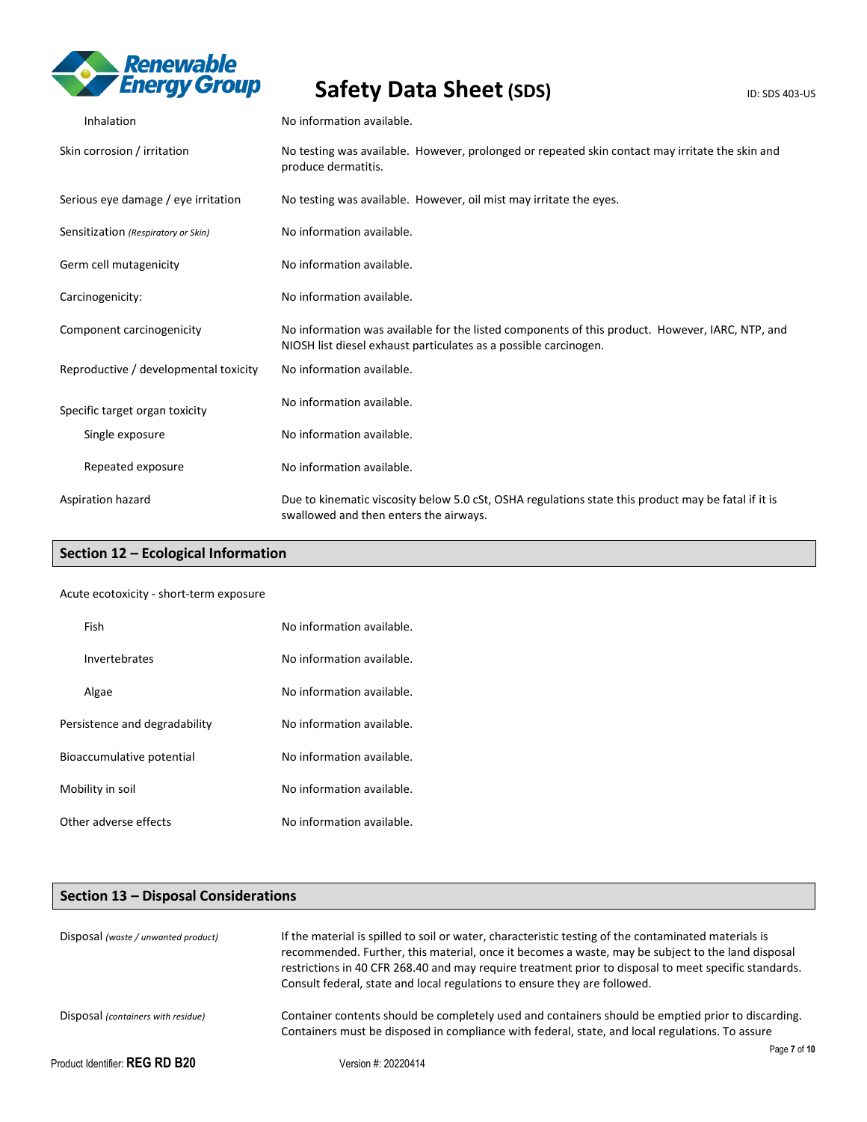

| Inhalation                            | No information available.                                                                                                                                           |
|---------------------------------------|---------------------------------------------------------------------------------------------------------------------------------------------------------------------|
| Skin corrosion / irritation           | No testing was available. However, prolonged or repeated skin contact may irritate the skin and<br>produce dermatitis.                                              |
| Serious eye damage / eye irritation   | No testing was available. However, oil mist may irritate the eyes.                                                                                                  |
| Sensitization (Respiratory or Skin)   | No information available.                                                                                                                                           |
| Germ cell mutagenicity                | No information available.                                                                                                                                           |
| Carcinogenicity:                      | No information available.                                                                                                                                           |
| Component carcinogenicity             | No information was available for the listed components of this product. However, IARC, NTP, and<br>NIOSH list diesel exhaust particulates as a possible carcinogen. |
| Reproductive / developmental toxicity | No information available.                                                                                                                                           |
| Specific target organ toxicity        | No information available.                                                                                                                                           |
| Single exposure                       | No information available.                                                                                                                                           |
| Repeated exposure                     | No information available.                                                                                                                                           |
| Aspiration hazard                     | Due to kinematic viscosity below 5.0 cSt, OSHA regulations state this product may be fatal if it is<br>swallowed and then enters the airways.                       |

# **Section 12 – Ecological Information**

#### Acute ecotoxicity - short-term exposure

| Fish                          | No information available. |
|-------------------------------|---------------------------|
| Invertebrates                 | No information available. |
| Algae                         | No information available. |
| Persistence and degradability | No information available. |
| Bioaccumulative potential     | No information available. |
| Mobility in soil              | No information available. |
| Other adverse effects         | No information available. |

# **Section 13 – Disposal Considerations**

| Disposal (waste / unwanted product) | If the material is spilled to soil or water, characteristic testing of the contaminated materials is<br>recommended. Further, this material, once it becomes a waste, may be subject to the land disposal<br>restrictions in 40 CFR 268.40 and may require treatment prior to disposal to meet specific standards.<br>Consult federal, state and local regulations to ensure they are followed. |  |
|-------------------------------------|-------------------------------------------------------------------------------------------------------------------------------------------------------------------------------------------------------------------------------------------------------------------------------------------------------------------------------------------------------------------------------------------------|--|
| Disposal (containers with residue)  | Container contents should be completely used and containers should be emptied prior to discarding.<br>Containers must be disposed in compliance with federal, state, and local regulations. To assure                                                                                                                                                                                           |  |
| Product Identifier: $REG RD B20$    | Page 7 of 10<br>Version #: 20220414                                                                                                                                                                                                                                                                                                                                                             |  |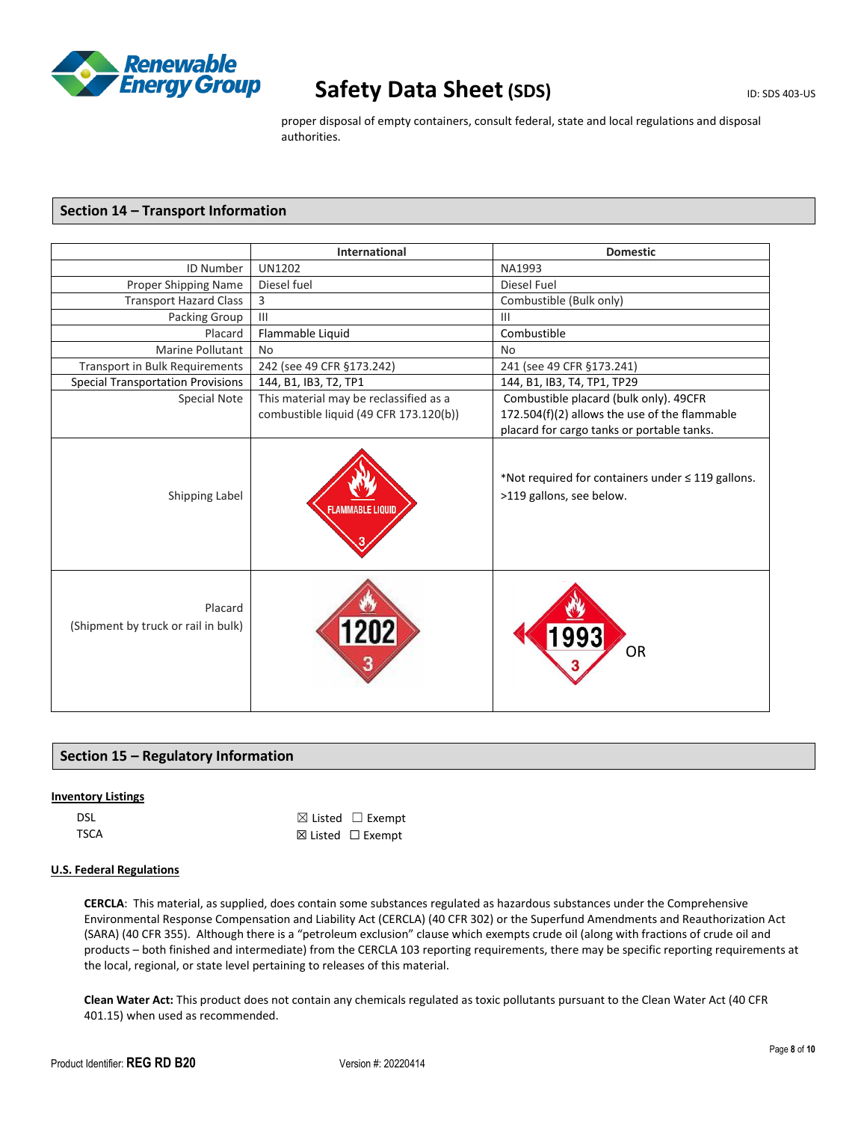

proper disposal of empty containers, consult federal, state and local regulations and disposal authorities.

# **Section 14 – Transport Information**

|                                                | International                          | <b>Domestic</b>                                                                    |
|------------------------------------------------|----------------------------------------|------------------------------------------------------------------------------------|
| <b>ID Number</b>                               | <b>UN1202</b>                          | NA1993                                                                             |
| Proper Shipping Name                           | Diesel fuel                            | Diesel Fuel                                                                        |
| <b>Transport Hazard Class</b>                  | 3                                      | Combustible (Bulk only)                                                            |
| Packing Group                                  | III                                    | $\mathbf{III}$                                                                     |
| Placard                                        | Flammable Liquid                       | Combustible                                                                        |
| <b>Marine Pollutant</b>                        | <b>No</b>                              | <b>No</b>                                                                          |
| <b>Transport in Bulk Requirements</b>          | 242 (see 49 CFR §173.242)              | 241 (see 49 CFR §173.241)                                                          |
| <b>Special Transportation Provisions</b>       | 144, B1, IB3, T2, TP1                  | 144, B1, IB3, T4, TP1, TP29                                                        |
| Special Note                                   | This material may be reclassified as a | Combustible placard (bulk only). 49CFR                                             |
|                                                | combustible liquid (49 CFR 173.120(b)) | 172.504(f)(2) allows the use of the flammable                                      |
|                                                |                                        | placard for cargo tanks or portable tanks.                                         |
| Shipping Label                                 | <b>FLAMMABLE LIQUID</b>                | *Not required for containers under $\leq$ 119 gallons.<br>>119 gallons, see below. |
| Placard<br>(Shipment by truck or rail in bulk) |                                        | <b>OR</b>                                                                          |

# **Section 15 – Regulatory Information**

# **Inventory Listings**

| DSL         | $\boxtimes$ Listed $\Box$ Exempt |
|-------------|----------------------------------|
| <b>TSCA</b> | $\boxtimes$ Listed $\Box$ Exempt |

### **U.S. Federal Regulations**

**CERCLA**: This material, as supplied, does contain some substances regulated as hazardous substances under the Comprehensive Environmental Response Compensation and Liability Act (CERCLA) (40 CFR 302) or the Superfund Amendments and Reauthorization Act (SARA) (40 CFR 355). Although there is a "petroleum exclusion" clause which exempts crude oil (along with fractions of crude oil and products – both finished and intermediate) from the CERCLA 103 reporting requirements, there may be specific reporting requirements at the local, regional, or state level pertaining to releases of this material.

**Clean Water Act:** This product does not contain any chemicals regulated as toxic pollutants pursuant to the Clean Water Act (40 CFR 401.15) when used as recommended.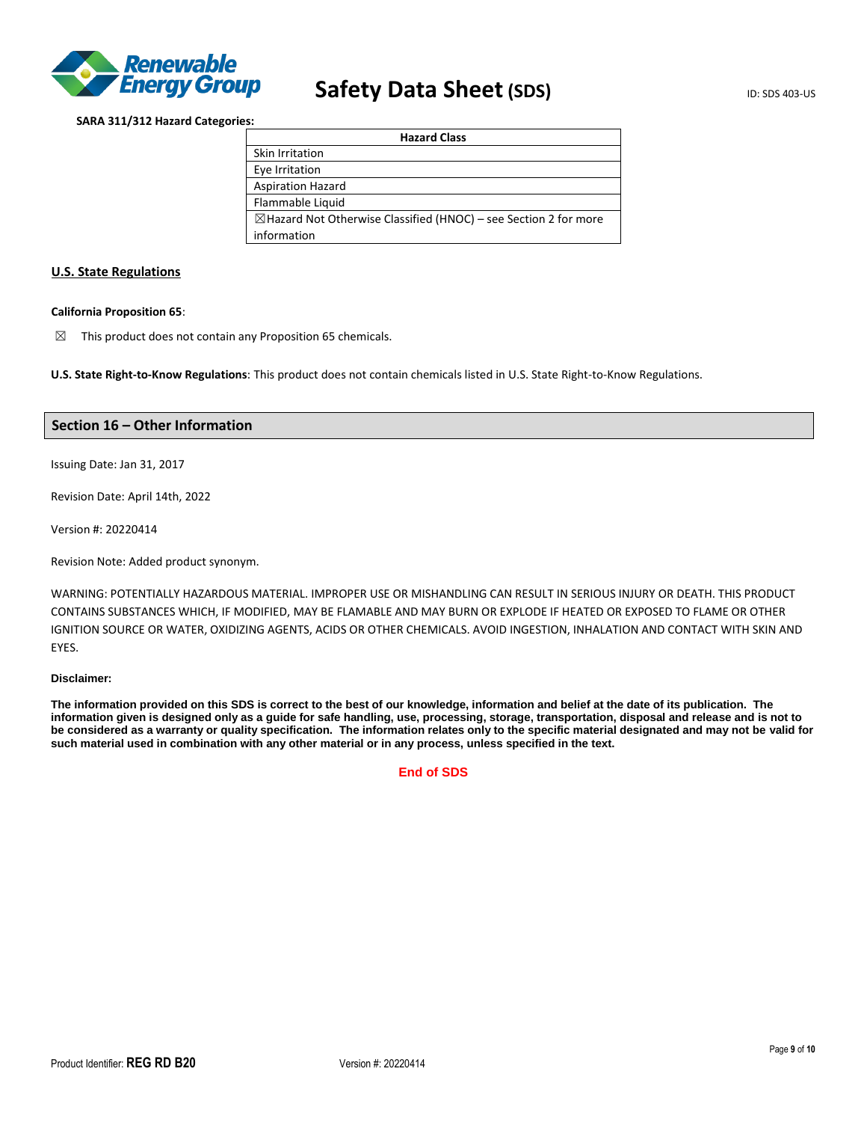

### **SARA 311/312 Hazard Categories:**

| <b>Hazard Class</b>                                                         |
|-----------------------------------------------------------------------------|
| Skin Irritation                                                             |
| Eye Irritation                                                              |
| <b>Aspiration Hazard</b>                                                    |
| Flammable Liquid                                                            |
| $\boxtimes$ Hazard Not Otherwise Classified (HNOC) – see Section 2 for more |
| information                                                                 |

# **U.S. State Regulations**

#### **California Proposition 65**:

 $\boxtimes$  This product does not contain any Proposition 65 chemicals.

**U.S. State Right-to-Know Regulations**: This product does not contain chemicals listed in U.S. State Right-to-Know Regulations.

### **Section 16 – Other Information**

Issuing Date: Jan 31, 2017

Revision Date: April 14th, 2022

Version #: 20220414

Revision Note: Added product synonym.

WARNING: POTENTIALLY HAZARDOUS MATERIAL. IMPROPER USE OR MISHANDLING CAN RESULT IN SERIOUS INJURY OR DEATH. THIS PRODUCT CONTAINS SUBSTANCES WHICH, IF MODIFIED, MAY BE FLAMABLE AND MAY BURN OR EXPLODE IF HEATED OR EXPOSED TO FLAME OR OTHER IGNITION SOURCE OR WATER, OXIDIZING AGENTS, ACIDS OR OTHER CHEMICALS. AVOID INGESTION, INHALATION AND CONTACT WITH SKIN AND EYES.

### **Disclaimer:**

**The information provided on this SDS is correct to the best of our knowledge, information and belief at the date of its publication. The information given is designed only as a guide for safe handling, use, processing, storage, transportation, disposal and release and is not to be considered as a warranty or quality specification. The information relates only to the specific material designated and may not be valid for such material used in combination with any other material or in any process, unless specified in the text.**

**End of SDS**